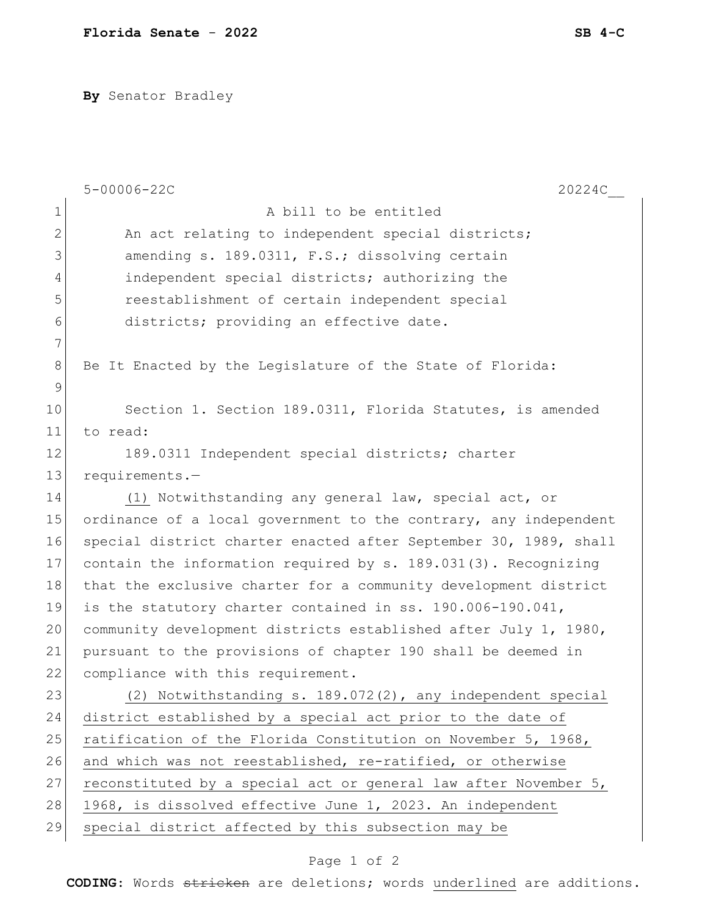**By** Senator Bradley

|              | $5 - 00006 - 22C$<br>20224C                                      |
|--------------|------------------------------------------------------------------|
| $\mathbf{1}$ | A bill to be entitled                                            |
| $\mathbf{2}$ | An act relating to independent special districts;                |
| 3            | amending s. 189.0311, F.S.; dissolving certain                   |
| 4            | independent special districts; authorizing the                   |
| 5            | reestablishment of certain independent special                   |
| 6            | districts; providing an effective date.                          |
| 7            |                                                                  |
| 8            | Be It Enacted by the Legislature of the State of Florida:        |
| 9            |                                                                  |
| 10           | Section 1. Section 189.0311, Florida Statutes, is amended        |
| 11           | to read:                                                         |
| 12           | 189.0311 Independent special districts; charter                  |
| 13           | requirements.-                                                   |
| 14           | (1) Notwithstanding any general law, special act, or             |
| 15           | ordinance of a local government to the contrary, any independent |
| 16           | special district charter enacted after September 30, 1989, shall |
| 17           | contain the information required by s. 189.031(3). Recognizing   |
| 18           | that the exclusive charter for a community development district  |
| 19           | is the statutory charter contained in ss. 190.006-190.041,       |
| 20           | community development districts established after July 1, 1980,  |
| 21           | pursuant to the provisions of chapter 190 shall be deemed in     |
| 22           | compliance with this requirement.                                |
| 23           | (2) Notwithstanding s. 189.072(2), any independent special       |
| 24           | district established by a special act prior to the date of       |
| 25           | ratification of the Florida Constitution on November 5, 1968,    |
| 26           | and which was not reestablished, re-ratified, or otherwise       |
| 27           | reconstituted by a special act or general law after November 5,  |
| 28           | 1968, is dissolved effective June 1, 2023. An independent        |
| 29           | special district affected by this subsection may be              |

## Page 1 of 2

**CODING**: Words stricken are deletions; words underlined are additions.